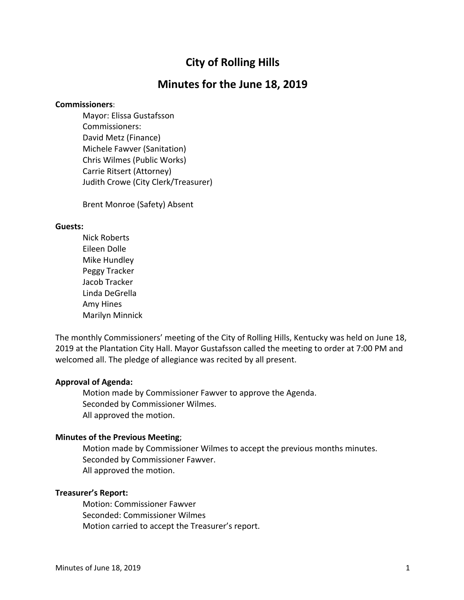# **City of Rolling Hills**

## **Minutes for the June 18, 2019**

#### **Commissioners**:

Mayor: Elissa Gustafsson Commissioners: David Metz (Finance) Michele Fawver (Sanitation) Chris Wilmes (Public Works) Carrie Ritsert (Attorney) Judith Crowe (City Clerk/Treasurer)

Brent Monroe (Safety) Absent

#### **Guests:**

Nick Roberts Eileen Dolle Mike Hundley Peggy Tracker Jacob Tracker Linda DeGrella Amy Hines Marilyn Minnick

The monthly Commissioners' meeting of the City of Rolling Hills, Kentucky was held on June 18, 2019 at the Plantation City Hall. Mayor Gustafsson called the meeting to order at 7:00 PM and welcomed all. The pledge of allegiance was recited by all present.

#### **Approval of Agenda:**

Motion made by Commissioner Fawver to approve the Agenda. Seconded by Commissioner Wilmes. All approved the motion.

#### **Minutes of the Previous Meeting**;

Motion made by Commissioner Wilmes to accept the previous months minutes. Seconded by Commissioner Fawver. All approved the motion.

### **Treasurer's Report:**

Motion: Commissioner Fawver Seconded: Commissioner Wilmes Motion carried to accept the Treasurer's report.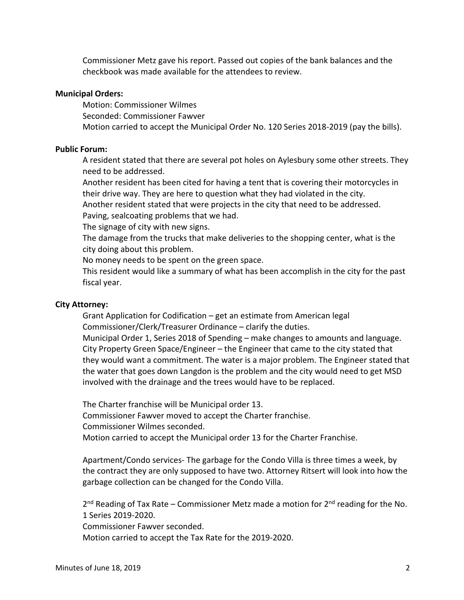Commissioner Metz gave his report. Passed out copies of the bank balances and the checkbook was made available for the attendees to review.

#### **Municipal Orders:**

Motion: Commissioner Wilmes Seconded: Commissioner Fawver Motion carried to accept the Municipal Order No. 120 Series 2018-2019 (pay the bills).

#### **Public Forum:**

A resident stated that there are several pot holes on Aylesbury some other streets. They need to be addressed.

Another resident has been cited for having a tent that is covering their motorcycles in their drive way. They are here to question what they had violated in the city.

Another resident stated that were projects in the city that need to be addressed. Paving, sealcoating problems that we had.

The signage of city with new signs.

The damage from the trucks that make deliveries to the shopping center, what is the city doing about this problem.

No money needs to be spent on the green space.

This resident would like a summary of what has been accomplish in the city for the past fiscal year.

#### **City Attorney:**

Grant Application for Codification – get an estimate from American legal Commissioner/Clerk/Treasurer Ordinance – clarify the duties.

Municipal Order 1, Series 2018 of Spending – make changes to amounts and language. City Property Green Space/Engineer – the Engineer that came to the city stated that they would want a commitment. The water is a major problem. The Engineer stated that the water that goes down Langdon is the problem and the city would need to get MSD involved with the drainage and the trees would have to be replaced.

The Charter franchise will be Municipal order 13. Commissioner Fawver moved to accept the Charter franchise. Commissioner Wilmes seconded. Motion carried to accept the Municipal order 13 for the Charter Franchise.

Apartment/Condo services- The garbage for the Condo Villa is three times a week, by the contract they are only supposed to have two. Attorney Ritsert will look into how the garbage collection can be changed for the Condo Villa.

 $2^{nd}$  Reading of Tax Rate – Commissioner Metz made a motion for  $2^{nd}$  reading for the No. 1 Series 2019-2020.

Commissioner Fawver seconded.

Motion carried to accept the Tax Rate for the 2019-2020.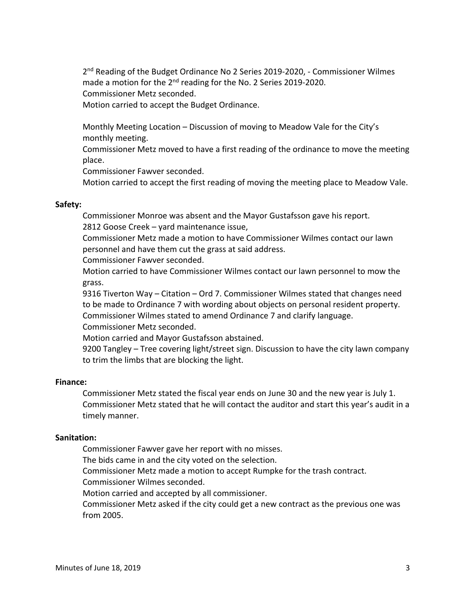2<sup>nd</sup> Reading of the Budget Ordinance No 2 Series 2019-2020, - Commissioner Wilmes made a motion for the 2<sup>nd</sup> reading for the No. 2 Series 2019-2020. Commissioner Metz seconded.

Motion carried to accept the Budget Ordinance.

Monthly Meeting Location – Discussion of moving to Meadow Vale for the City's monthly meeting.

Commissioner Metz moved to have a first reading of the ordinance to move the meeting place.

Commissioner Fawver seconded.

Motion carried to accept the first reading of moving the meeting place to Meadow Vale.

#### **Safety:**

Commissioner Monroe was absent and the Mayor Gustafsson gave his report. 2812 Goose Creek – yard maintenance issue,

Commissioner Metz made a motion to have Commissioner Wilmes contact our lawn personnel and have them cut the grass at said address.

Commissioner Fawver seconded.

Motion carried to have Commissioner Wilmes contact our lawn personnel to mow the grass.

9316 Tiverton Way – Citation – Ord 7. Commissioner Wilmes stated that changes need to be made to Ordinance 7 with wording about objects on personal resident property. Commissioner Wilmes stated to amend Ordinance 7 and clarify language. Commissioner Metz seconded.

Motion carried and Mayor Gustafsson abstained.

9200 Tangley – Tree covering light/street sign. Discussion to have the city lawn company to trim the limbs that are blocking the light.

#### **Finance:**

Commissioner Metz stated the fiscal year ends on June 30 and the new year is July 1. Commissioner Metz stated that he will contact the auditor and start this year's audit in a timely manner.

#### **Sanitation:**

Commissioner Fawver gave her report with no misses.

The bids came in and the city voted on the selection.

Commissioner Metz made a motion to accept Rumpke for the trash contract.

Commissioner Wilmes seconded.

Motion carried and accepted by all commissioner.

Commissioner Metz asked if the city could get a new contract as the previous one was from 2005.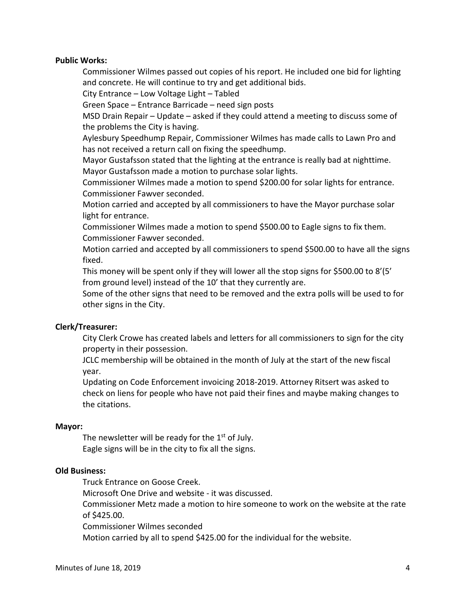#### **Public Works:**

Commissioner Wilmes passed out copies of his report. He included one bid for lighting and concrete. He will continue to try and get additional bids.

City Entrance – Low Voltage Light – Tabled

Green Space – Entrance Barricade – need sign posts

MSD Drain Repair – Update – asked if they could attend a meeting to discuss some of the problems the City is having.

Aylesbury Speedhump Repair, Commissioner Wilmes has made calls to Lawn Pro and has not received a return call on fixing the speedhump.

Mayor Gustafsson stated that the lighting at the entrance is really bad at nighttime. Mayor Gustafsson made a motion to purchase solar lights.

Commissioner Wilmes made a motion to spend \$200.00 for solar lights for entrance. Commissioner Fawver seconded.

Motion carried and accepted by all commissioners to have the Mayor purchase solar light for entrance.

Commissioner Wilmes made a motion to spend \$500.00 to Eagle signs to fix them. Commissioner Fawver seconded.

Motion carried and accepted by all commissioners to spend \$500.00 to have all the signs fixed.

This money will be spent only if they will lower all the stop signs for \$500.00 to 8'(5' from ground level) instead of the 10' that they currently are.

Some of the other signs that need to be removed and the extra polls will be used to for other signs in the City.

## **Clerk/Treasurer:**

City Clerk Crowe has created labels and letters for all commissioners to sign for the city property in their possession.

JCLC membership will be obtained in the month of July at the start of the new fiscal year.

Updating on Code Enforcement invoicing 2018-2019. Attorney Ritsert was asked to check on liens for people who have not paid their fines and maybe making changes to the citations.

#### **Mayor:**

The newsletter will be ready for the  $1<sup>st</sup>$  of July. Eagle signs will be in the city to fix all the signs.

## **Old Business:**

Truck Entrance on Goose Creek.

Microsoft One Drive and website - it was discussed.

Commissioner Metz made a motion to hire someone to work on the website at the rate of \$425.00.

Commissioner Wilmes seconded

Motion carried by all to spend \$425.00 for the individual for the website.